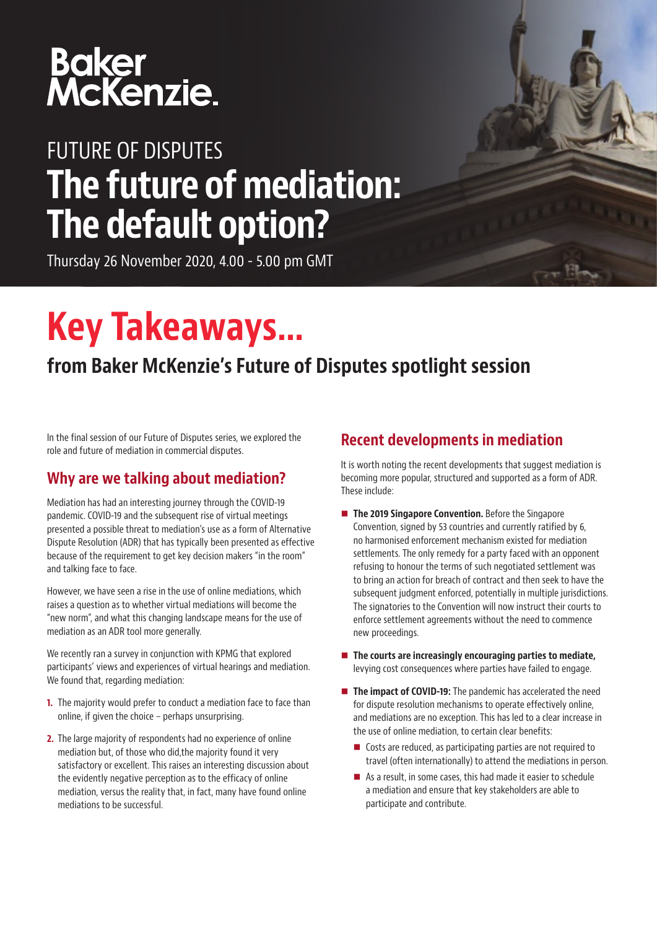# Baker<br>McKenzie.

## FUTURE OF DISPUTES The future of mediation: The default option?

Thursday 26 November 2020, 4.00 - 5.00 pm GMT

## Key Takeaways…

### from Baker McKenzie's Future of Disputes spotlight session

In the final session of our Future of Disputes series, we explored the role and future of mediation in commercial disputes.

#### Why are we talking about mediation?

Mediation has had an interesting journey through the COVID-19 pandemic. COVID-19 and the subsequent rise of virtual meetings presented a possible threat to mediation's use as a form of Alternative Dispute Resolution (ADR) that has typically been presented as effective because of the requirement to get key decision makers "in the room" and talking face to face.

However, we have seen a rise in the use of online mediations, which raises a question as to whether virtual mediations will become the "new norm", and what this changing landscape means for the use of mediation as an ADR tool more generally.

We recently ran a survey in conjunction with KPMG that explored participants' views and experiences of virtual hearings and mediation. We found that, regarding mediation:

- **1.** The majority would prefer to conduct a mediation face to face than online, if given the choice – perhaps unsurprising.
- 2. The large majority of respondents had no experience of online mediation but, of those who did,the majority found it very satisfactory or excellent. This raises an interesting discussion about the evidently negative perception as to the efficacy of online mediation, versus the reality that, in fact, many have found online mediations to be successful.

#### Recent developments in mediation

It is worth noting the recent developments that suggest mediation is becoming more popular, structured and supported as a form of ADR. These include:

- The 2019 Singapore Convention. Before the Singapore Convention, signed by 53 countries and currently ratified by 6, no harmonised enforcement mechanism existed for mediation settlements. The only remedy for a party faced with an opponent refusing to honour the terms of such negotiated settlement was to bring an action for breach of contract and then seek to have the subsequent judgment enforced, potentially in multiple jurisdictions. The signatories to the Convention will now instruct their courts to enforce settlement agreements without the need to commence new proceedings.
- $\blacksquare$  The courts are increasingly encouraging parties to mediate, levying cost consequences where parties have failed to engage.
- The impact of COVID-19: The pandemic has accelerated the need for dispute resolution mechanisms to operate effectively online, and mediations are no exception. This has led to a clear increase in the use of online mediation, to certain clear benefits:
	- Costs are reduced, as participating parties are not required to travel (often internationally) to attend the mediations in person.
	- As a result, in some cases, this had made it easier to schedule a mediation and ensure that key stakeholders are able to participate and contribute.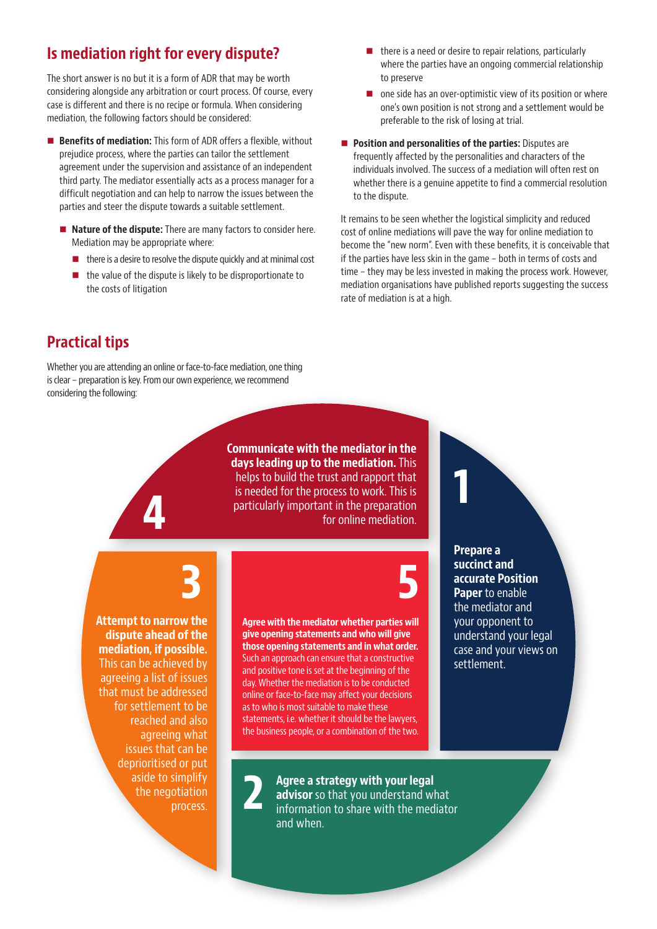#### Is mediation right for every dispute?

The short answer is no but it is a form of ADR that may be worth considering alongside any arbitration or court process. Of course, every case is different and there is no recipe or formula. When considering mediation, the following factors should be considered:

- Benefits of mediation: This form of ADR offers a flexible, without prejudice process, where the parties can tailor the settlement agreement under the supervision and assistance of an independent third party. The mediator essentially acts as a process manager for a difficult negotiation and can help to narrow the issues between the parties and steer the dispute towards a suitable settlement.
	- Nature of the dispute: There are many factors to consider here. Mediation may be appropriate where:
		- $\blacksquare$  there is a desire to resolve the dispute quickly and at minimal cost
		- $\blacksquare$  the value of the dispute is likely to be disproportionate to the costs of litigation
- $\blacksquare$  there is a need or desire to repair relations, particularly where the parties have an ongoing commercial relationship to preserve
- one side has an over-optimistic view of its position or where one's own position is not strong and a settlement would be preferable to the risk of losing at trial.
- **Position and personalities of the parties:** Disputes are frequently affected by the personalities and characters of the individuals involved. The success of a mediation will often rest on whether there is a genuine appetite to find a commercial resolution to the dispute.

It remains to be seen whether the logistical simplicity and reduced cost of online mediations will pave the way for online mediation to become the "new norm". Even with these benefits, it is conceivable that if the parties have less skin in the game – both in terms of costs and time – they may be less invested in making the process work. However, mediation organisations have published reports suggesting the success rate of mediation is at a high.

1

#### Practical tips

Whether you are attending an online or face-to-face mediation, one thing is clear – preparation is key. From our own experience, we recommend considering the following:

> Communicate with the mediator in the days leading up to the mediation. This helps to build the trust and rapport that is needed for the process to work. This is particularly important in the preparation for online mediation.

3 5

Attempt to narrow the dispute ahead of the mediation, if possible. This can be achieved by agreeing a list of issues that must be addressed for settlement to be reached and also agreeing what issues that can be deprioritised or put aside to simplify the negotiation process.

4

Agree with the mediator whether parties will give opening statements and who will give those opening statements and in what order. Such an approach can ensure that a constructive and positive tone is set at the beginning of the day. Whether the mediation is to be conducted online or face-to-face may affect your decisions as to who is most suitable to make these statements, i.e. whether it should be the lawyers, the business people, or a combination of the two.

2

Prepare a succinct and accurate Position Paper to enable the mediator and your opponent to understand your legal case and your views on settlement.

Agree a strategy with your legal advisor so that you understand what information to share with the mediator and when.